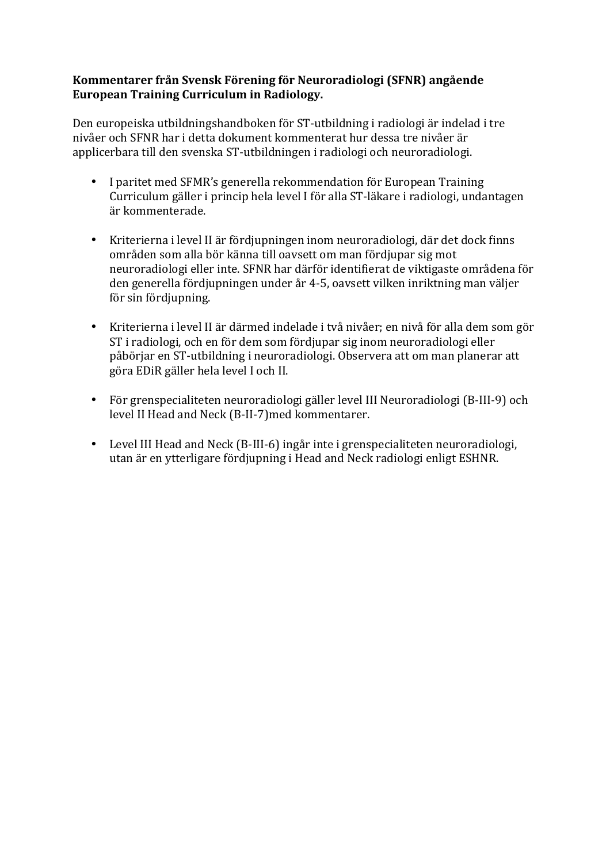## **Kommentarer från Svensk Förening för Neuroradiologi (SFNR) angående European Training Curriculum in Radiology.**

Den europeiska utbildningshandboken för ST-utbildning i radiologi är indelad i tre nivåer och SFNR har i detta dokument kommenterat hur dessa tre nivåer är applicerbara till den svenska ST-utbildningen i radiologi och neuroradiologi.

- I paritet med SFMR's generella rekommendation för European Training Curriculum gäller i princip hela level I för alla ST-läkare i radiologi, undantagen är kommenterade.
- Kriterierna i level II är fördjupningen inom neuroradiologi, där det dock finns områden som alla bör känna till oavsett om man fördjupar sig mot neuroradiologi eller inte. SFNR har därför identifierat de viktigaste områdena för den generella fördjupningen under år 4-5, oavsett vilken inriktning man väljer för sin fördjupning.
- Kriterierna i level II är därmed indelade i två nivåer; en nivå för alla dem som gör ST i radiologi, och en för dem som fördjupar sig inom neuroradiologi eller påbörjar en ST-utbildning i neuroradiologi. Observera att om man planerar att göra EDiR gäller hela level I och II.
- För grenspecialiteten neuroradiologi gäller level III Neuroradiologi (B-III-9) och level II Head and Neck (B-II-7)med kommentarer.
- Level III Head and Neck (B-III-6) ingår inte i grenspecialiteten neuroradiologi, utan är en ytterligare fördjupning i Head and Neck radiologi enligt ESHNR.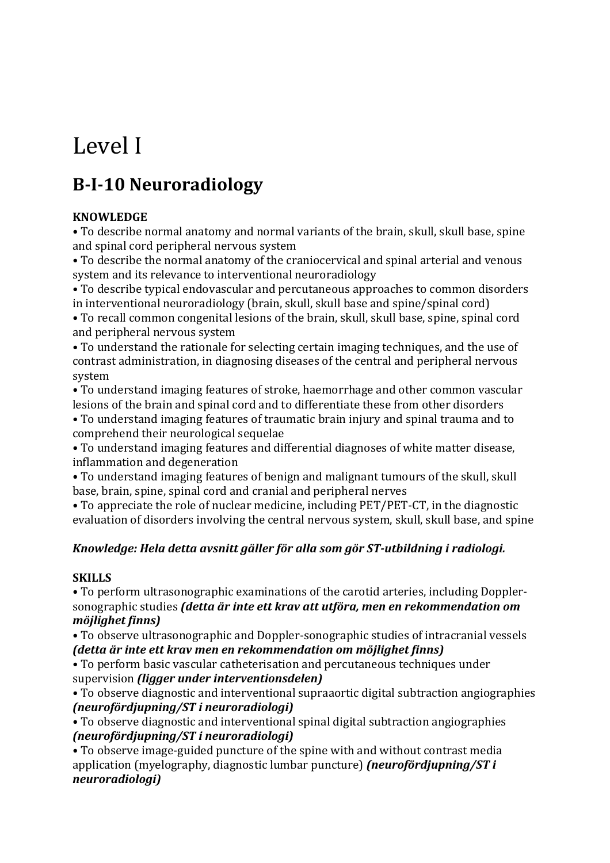# Level I

# **B-I-10 Neuroradiology**

# **KNOWLEDGE**

• To describe normal anatomy and normal variants of the brain, skull, skull base, spine and spinal cord peripheral nervous system

• To describe the normal anatomy of the craniocervical and spinal arterial and venous system and its relevance to interventional neuroradiology

• To describe typical endovascular and percutaneous approaches to common disorders in interventional neuroradiology (brain, skull, skull base and spine/spinal cord)

• To recall common congenital lesions of the brain, skull, skull base, spine, spinal cord and peripheral nervous system

• To understand the rationale for selecting certain imaging techniques, and the use of contrast administration, in diagnosing diseases of the central and peripheral nervous system

• To understand imaging features of stroke, haemorrhage and other common vascular lesions of the brain and spinal cord and to differentiate these from other disorders

• To understand imaging features of traumatic brain injury and spinal trauma and to comprehend their neurological sequelae

• To understand imaging features and differential diagnoses of white matter disease, inflammation and degeneration

• To understand imaging features of benign and malignant tumours of the skull, skull base, brain, spine, spinal cord and cranial and peripheral nerves

• To appreciate the role of nuclear medicine, including PET/PET-CT, in the diagnostic evaluation of disorders involving the central nervous system, skull, skull base, and spine

# *Knowledge: Hela detta avsnitt gäller för alla som gör ST-utbildning i radiologi.*

# **SKILLS**

• To perform ultrasonographic examinations of the carotid arteries, including Dopplersonographic studies *(detta är inte ett krav att utföra, men en rekommendation om möjlighet finns)*

• To observe ultrasonographic and Doppler-sonographic studies of intracranial vessels *(detta är inte ett krav men en rekommendation om möjlighet finns)* 

• To perform basic vascular catheterisation and percutaneous techniques under supervision *(ligger under interventionsdelen)* 

• To observe diagnostic and interventional supraaortic digital subtraction angiographies *(neurofördjupning/ST i neuroradiologi)*

• To observe diagnostic and interventional spinal digital subtraction angiographies *(neurofördjupning/ST i neuroradiologi)*

• To observe image-guided puncture of the spine with and without contrast media application (myelography, diagnostic lumbar puncture) *(neurofördjupning/ST i neuroradiologi)*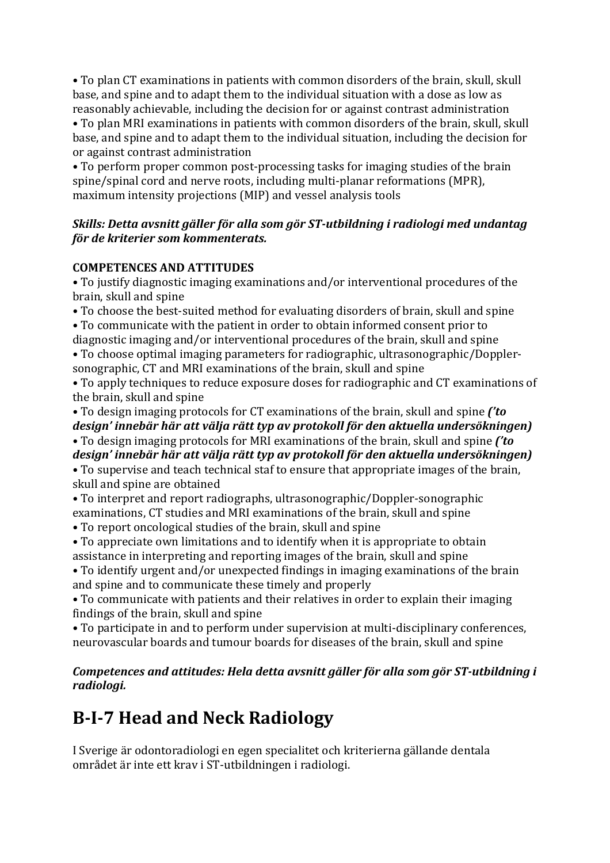• To plan CT examinations in patients with common disorders of the brain, skull, skull base, and spine and to adapt them to the individual situation with a dose as low as reasonably achievable, including the decision for or against contrast administration

• To plan MRI examinations in patients with common disorders of the brain, skull, skull base, and spine and to adapt them to the individual situation, including the decision for or against contrast administration

• To perform proper common post-processing tasks for imaging studies of the brain spine/spinal cord and nerve roots, including multi-planar reformations (MPR), maximum intensity projections (MIP) and vessel analysis tools

## *Skills: Detta avsnitt gäller för alla som gör ST-utbildning i radiologi med undantag för de kriterier som kommenterats.*

# **COMPETENCES AND ATTITUDES**

• To justify diagnostic imaging examinations and/or interventional procedures of the brain, skull and spine

• To choose the best-suited method for evaluating disorders of brain, skull and spine

• To communicate with the patient in order to obtain informed consent prior to diagnostic imaging and/or interventional procedures of the brain, skull and spine

• To choose optimal imaging parameters for radiographic, ultrasonographic/Dopplersonographic, CT and MRI examinations of the brain, skull and spine

• To apply techniques to reduce exposure doses for radiographic and CT examinations of the brain, skull and spine

• To design imaging protocols for CT examinations of the brain, skull and spine *('to* design' innebär här att välja rätt typ av protokoll för den aktuella undersökningen) • To design imaging protocols for MRI examinations of the brain, skull and spine *('to* design' innebär här att välja rätt typ av protokoll för den aktuella undersökningen)

• To supervise and teach technical staf to ensure that appropriate images of the brain, skull and spine are obtained

• To interpret and report radiographs, ultrasonographic/Doppler-sonographic examinations, CT studies and MRI examinations of the brain, skull and spine

• To report oncological studies of the brain, skull and spine

• To appreciate own limitations and to identify when it is appropriate to obtain assistance in interpreting and reporting images of the brain, skull and spine

• To identify urgent and/or unexpected findings in imaging examinations of the brain and spine and to communicate these timely and properly

• To communicate with patients and their relatives in order to explain their imaging findings of the brain, skull and spine

• To participate in and to perform under supervision at multi-disciplinary conferences, neurovascular boards and tumour boards for diseases of the brain, skull and spine

# *Competences and attitudes: Hela detta avsnitt gäller för alla som gör ST-utbildning i radiologi.*

# **B-I-7 Head and Neck Radiology**

I Sverige är odontoradiologi en egen specialitet och kriterierna gällande dentala området är inte ett krav i ST-utbildningen i radiologi.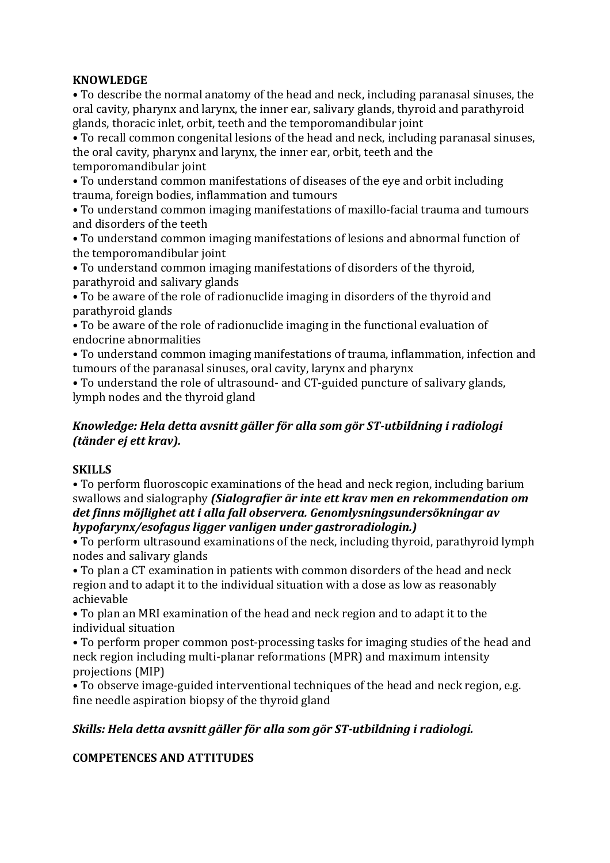# **KNOWLEDGE**

• To describe the normal anatomy of the head and neck, including paranasal sinuses, the oral cavity, pharynx and larynx, the inner ear, salivary glands, thyroid and parathyroid glands, thoracic inlet, orbit, teeth and the temporomandibular joint

• To recall common congenital lesions of the head and neck, including paranasal sinuses, the oral cavity, pharynx and larynx, the inner ear, orbit, teeth and the temporomandibular joint

• To understand common manifestations of diseases of the eye and orbit including trauma, foreign bodies, inflammation and tumours

• To understand common imaging manifestations of maxillo-facial trauma and tumours and disorders of the teeth

• To understand common imaging manifestations of lesions and abnormal function of the temporomandibular joint

• To understand common imaging manifestations of disorders of the thyroid, parathyroid and salivary glands

• To be aware of the role of radionuclide imaging in disorders of the thyroid and parathyroid glands

• To be aware of the role of radionuclide imaging in the functional evaluation of endocrine abnormalities

• To understand common imaging manifestations of trauma, inflammation, infection and tumours of the paranasal sinuses, oral cavity, larynx and pharynx

• To understand the role of ultrasound- and CT-guided puncture of salivary glands, lymph nodes and the thyroid gland

### *Knowledge: Hela detta avsnitt gäller för alla som gör ST-utbildning i radiologi (tänder ej ett krav).*

# **SKILLS**

• To perform fluoroscopic examinations of the head and neck region, including barium swallows and sialography *(Sialografier är inte ett krav men en rekommendation om* det finns möjlighet att i alla fall observera. Genomlysningsundersökningar av *hypofarynx/esofagus ligger vanligen under gastroradiologin.)*

• To perform ultrasound examinations of the neck, including thyroid, parathyroid lymph nodes and salivary glands

• To plan a CT examination in patients with common disorders of the head and neck region and to adapt it to the individual situation with a dose as low as reasonably achievable

• To plan an MRI examination of the head and neck region and to adapt it to the individual situation

• To perform proper common post-processing tasks for imaging studies of the head and neck region including multi-planar reformations (MPR) and maximum intensity projections (MIP)

• To observe image-guided interventional techniques of the head and neck region, e.g. fine needle aspiration biopsy of the thyroid gland

# *Skills: Hela detta avsnitt gäller för alla som gör ST-utbildning i radiologi.*

# **COMPETENCES AND ATTITUDES**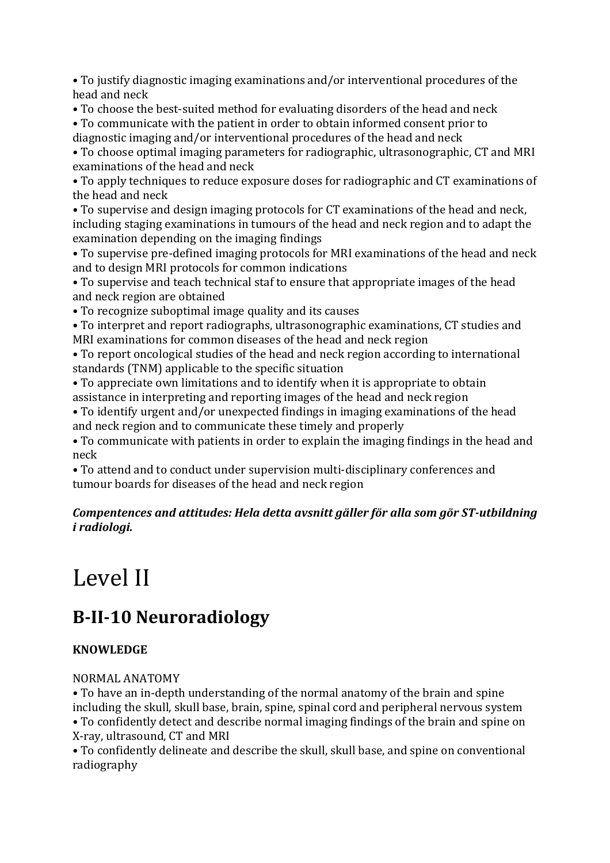• To justify diagnostic imaging examinations and/or interventional procedures of the head and neck

• To choose the best-suited method for evaluating disorders of the head and neck

• To communicate with the patient in order to obtain informed consent prior to diagnostic imaging and/or interventional procedures of the head and neck

• To choose optimal imaging parameters for radiographic, ultrasonographic, CT and MRI examinations of the head and neck

• To apply techniques to reduce exposure doses for radiographic and CT examinations of the head and neck

• To supervise and design imaging protocols for CT examinations of the head and neck, including staging examinations in tumours of the head and neck region and to adapt the examination depending on the imaging findings

• To supervise pre-defined imaging protocols for MRI examinations of the head and neck and to design MRI protocols for common indications

• To supervise and teach technical staf to ensure that appropriate images of the head and neck region are obtained

• To recognize suboptimal image quality and its causes

• To interpret and report radiographs, ultrasonographic examinations, CT studies and MRI examinations for common diseases of the head and neck region

• To report oncological studies of the head and neck region according to international standards (TNM) applicable to the specific situation

• To appreciate own limitations and to identify when it is appropriate to obtain assistance in interpreting and reporting images of the head and neck region

• To identify urgent and/or unexpected findings in imaging examinations of the head and neck region and to communicate these timely and properly

• To communicate with patients in order to explain the imaging findings in the head and neck

• To attend and to conduct under supervision multi-disciplinary conferences and tumour boards for diseases of the head and neck region

# *Compentences and attitudes: Hela detta avsnitt gäller för alla som gör ST-utbildning i radiologi.*

# Level II

# **B-II-10 Neuroradiology**

# **KNOWLEDGE**

# NORMAL ANATOMY

• To have an in-depth understanding of the normal anatomy of the brain and spine including the skull, skull base, brain, spine, spinal cord and peripheral nervous system • To confidently detect and describe normal imaging findings of the brain and spine on X-ray, ultrasound, CT and MRI

• To confidently delineate and describe the skull, skull base, and spine on conventional radiography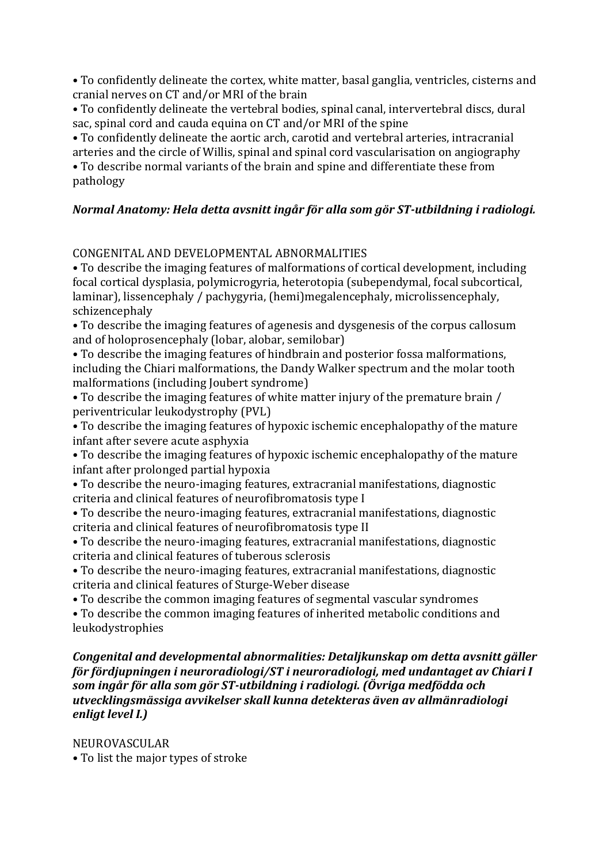• To confidently delineate the cortex, white matter, basal ganglia, ventricles, cisterns and cranial nerves on CT and/or MRI of the brain

• To confidently delineate the vertebral bodies, spinal canal, intervertebral discs, dural sac, spinal cord and cauda equina on CT and/or MRI of the spine

• To confidently delineate the aortic arch, carotid and vertebral arteries, intracranial arteries and the circle of Willis, spinal and spinal cord vascularisation on angiography • To describe normal variants of the brain and spine and differentiate these from

pathology

# *Normal Anatomy: Hela detta avsnitt ingår för alla som gör ST-utbildning i radiologi.*

# CONGENITAL AND DEVELOPMENTAL ABNORMALITIES

• To describe the imaging features of malformations of cortical development, including focal cortical dysplasia, polymicrogyria, heterotopia (subependymal, focal subcortical, laminar), lissencephaly / pachygyria, (hemi)megalencephaly, microlissencephaly, schizencephaly

• To describe the imaging features of agenesis and dysgenesis of the corpus callosum and of holoprosencephaly (lobar, alobar, semilobar)

• To describe the imaging features of hindbrain and posterior fossa malformations, including the Chiari malformations, the Dandy Walker spectrum and the molar tooth malformations (including Joubert syndrome)

• To describe the imaging features of white matter injury of the premature brain / periventricular leukodystrophy (PVL)

• To describe the imaging features of hypoxic ischemic encephalopathy of the mature infant after severe acute asphyxia

• To describe the imaging features of hypoxic ischemic encephalopathy of the mature infant after prolonged partial hypoxia

- To describe the neuro-imaging features, extracranial manifestations, diagnostic criteria and clinical features of neurofibromatosis type I
- To describe the neuro-imaging features, extracranial manifestations, diagnostic criteria and clinical features of neurofibromatosis type II
- To describe the neuro-imaging features, extracranial manifestations, diagnostic criteria and clinical features of tuberous sclerosis
- To describe the neuro-imaging features, extracranial manifestations, diagnostic criteria and clinical features of Sturge-Weber disease
- To describe the common imaging features of segmental vascular syndromes
- To describe the common imaging features of inherited metabolic conditions and leukodystrophies

#### *Congenital and developmental abnormalities: Detaljkunskap om detta avsnitt gäller för fördjupningen i neuroradiologi/ST i neuroradiologi, med undantaget av Chiari I* som ingår för alla som gör ST-utbildning i radiologi. *(Övriga medfödda och utvecklingsmässiga avvikelser skall kunna detekteras även av allmänradiologi enligt level I.)*

NEUROVASCULAR

• To list the major types of stroke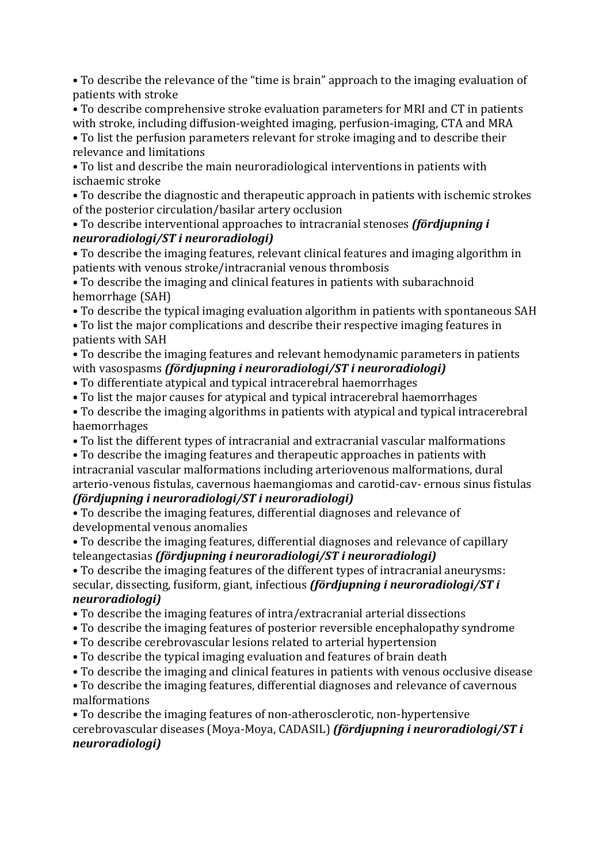• To describe the relevance of the "time is brain" approach to the imaging evaluation of patients with stroke

• To describe comprehensive stroke evaluation parameters for MRI and CT in patients with stroke, including diffusion-weighted imaging, perfusion-imaging, CTA and MRA • To list the perfusion parameters relevant for stroke imaging and to describe their

relevance and limitations

• To list and describe the main neuroradiological interventions in patients with ischaemic stroke

• To describe the diagnostic and therapeutic approach in patients with ischemic strokes of the posterior circulation/basilar artery occlusion

### • To describe interventional approaches to intracranial stenoses *(fördjupning i*) *neuroradiologi/ST i neuroradiologi)*

• To describe the imaging features, relevant clinical features and imaging algorithm in patients with venous stroke/intracranial venous thrombosis

• To describe the imaging and clinical features in patients with subarachnoid hemorrhage (SAH)

- To describe the typical imaging evaluation algorithm in patients with spontaneous SAH
- To list the major complications and describe their respective imaging features in patients with SAH

# • To describe the imaging features and relevant hemodynamic parameters in patients with vasospasms *(fördjupning i neuroradiologi/ST i neuroradiologi)*

- To differentiate atypical and typical intracerebral haemorrhages
- To list the major causes for atypical and typical intracerebral haemorrhages
- To describe the imaging algorithms in patients with atypical and typical intracerebral haemorrhages
- To list the different types of intracranial and extracranial vascular malformations

• To describe the imaging features and therapeutic approaches in patients with intracranial vascular malformations including arteriovenous malformations, dural arterio-venous fistulas, cavernous haemangiomas and carotid-cav- ernous sinus fistulas

# *(fördjupning i neuroradiologi/ST i neuroradiologi)*

• To describe the imaging features, differential diagnoses and relevance of developmental venous anomalies

• To describe the imaging features, differential diagnoses and relevance of capillary teleangectasias *(fördjupning i neuroradiologi/ST i neuroradiologi)* 

• To describe the imaging features of the different types of intracranial aneurysms: secular, dissecting, fusiform, giant, infectious *(fördjupning i neuroradiologi/ST i neuroradiologi)*

- To describe the imaging features of intra/extracranial arterial dissections
- To describe the imaging features of posterior reversible encephalopathy syndrome
- To describe cerebrovascular lesions related to arterial hypertension
- To describe the typical imaging evaluation and features of brain death
- To describe the imaging and clinical features in patients with venous occlusive disease
- To describe the imaging features, differential diagnoses and relevance of cavernous malformations

• To describe the imaging features of non-atherosclerotic, non-hypertensive cerebrovascular diseases (Moya-Moya, CADASIL) *(fördjupning i neuroradiologi/ST i neuroradiologi)*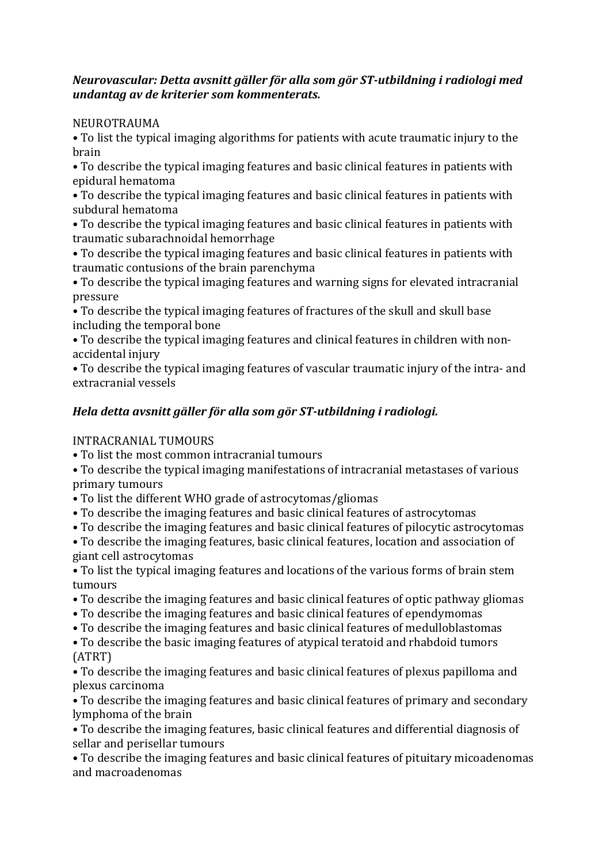# *Neurovascular: Detta avsnitt gäller för alla som gör ST-utbildning i radiologi med undantag av de kriterier som kommenterats.*

NEUROTRAUMA

• To list the typical imaging algorithms for patients with acute traumatic injury to the brain

• To describe the typical imaging features and basic clinical features in patients with epidural hematoma

• To describe the typical imaging features and basic clinical features in patients with subdural hematoma

• To describe the typical imaging features and basic clinical features in patients with traumatic subarachnoidal hemorrhage

• To describe the typical imaging features and basic clinical features in patients with traumatic contusions of the brain parenchyma

• To describe the typical imaging features and warning signs for elevated intracranial pressure

• To describe the typical imaging features of fractures of the skull and skull base including the temporal bone

• To describe the typical imaging features and clinical features in children with nonaccidental injury

• To describe the typical imaging features of vascular traumatic injury of the intra- and extracranial vessels

# *Hela detta avsnitt gäller för alla som gör ST-utbildning i radiologi.*

# INTRACRANIAL TUMOURS

• To list the most common intracranial tumours

• To describe the typical imaging manifestations of intracranial metastases of various primary tumours

- To list the different WHO grade of astrocytomas/gliomas
- To describe the imaging features and basic clinical features of astrocytomas
- To describe the imaging features and basic clinical features of pilocytic astrocytomas

• To describe the imaging features, basic clinical features, location and association of giant cell astrocytomas

• To list the typical imaging features and locations of the various forms of brain stem tumours

- To describe the imaging features and basic clinical features of optic pathway gliomas
- To describe the imaging features and basic clinical features of ependymomas
- To describe the imaging features and basic clinical features of medulloblastomas

• To describe the basic imaging features of atypical teratoid and rhabdoid tumors (ATRT)

• To describe the imaging features and basic clinical features of plexus papilloma and plexus carcinoma

• To describe the imaging features and basic clinical features of primary and secondary lymphoma of the brain

• To describe the imaging features, basic clinical features and differential diagnosis of sellar and perisellar tumours

• To describe the imaging features and basic clinical features of pituitary micoadenomas and macroadenomas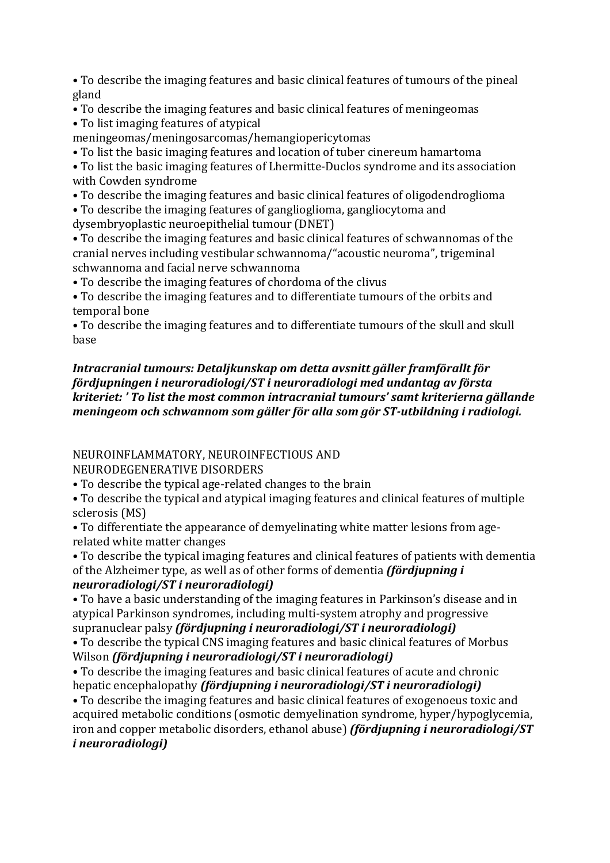• To describe the imaging features and basic clinical features of tumours of the pineal gland

- To describe the imaging features and basic clinical features of meningeomas • To list imaging features of atypical
- meningeomas/meningosarcomas/hemangiopericytomas
- To list the basic imaging features and location of tuber cinereum hamartoma

• To list the basic imaging features of Lhermitte-Duclos syndrome and its association with Cowden syndrome

• To describe the imaging features and basic clinical features of oligodendroglioma

• To describe the imaging features of ganglioglioma, gangliocytoma and dysembryoplastic neuroepithelial tumour (DNET)

• To describe the imaging features and basic clinical features of schwannomas of the cranial nerves including vestibular schwannoma/"acoustic neuroma", trigeminal schwannoma and facial nerve schwannoma

• To describe the imaging features of chordoma of the clivus

• To describe the imaging features and to differentiate tumours of the orbits and temporal bone

• To describe the imaging features and to differentiate tumours of the skull and skull base

# *Intracranial tumours: Detaljkunskap om detta avsnitt gäller framförallt för fördjupningen i neuroradiologi/ST i neuroradiologi med undantag av första kriteriet:* ' To list the most common intracranial tumours' samt kriterierna gällande *meningeom och schwannom som gäller för alla som gör ST-utbildning i radiologi.*

# NEUROINFLAMMATORY, NEUROINFECTIOUS AND

NEURODEGENERATIVE DISORDERS

• To describe the typical age-related changes to the brain

• To describe the typical and atypical imaging features and clinical features of multiple sclerosis (MS)

• To differentiate the appearance of demyelinating white matter lesions from agerelated white matter changes

• To describe the typical imaging features and clinical features of patients with dementia of the Alzheimer type, as well as of other forms of dementia *(fördjupning i neuroradiologi/ST i neuroradiologi)*

• To have a basic understanding of the imaging features in Parkinson's disease and in atypical Parkinson syndromes, including multi-system atrophy and progressive supranuclear palsy *(fördjupning i neuroradiologi/ST i neuroradiologi)* 

• To describe the typical CNS imaging features and basic clinical features of Morbus Wilson *(fördjupning i neuroradiologi/ST i neuroradiologi)* 

• To describe the imaging features and basic clinical features of acute and chronic hepatic encephalopathy *(fördjupning i neuroradiologi/ST i neuroradiologi)* 

• To describe the imaging features and basic clinical features of exogenoeus toxic and acquired metabolic conditions (osmotic demyelination syndrome, hyper/hypoglycemia, iron and copper metabolic disorders, ethanol abuse) *(fördjupning i neuroradiologi/ST i neuroradiologi)*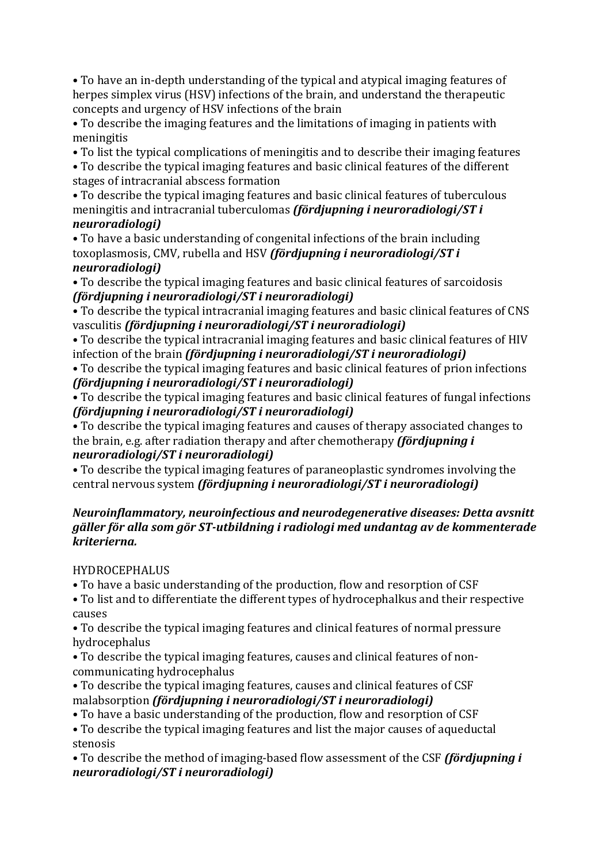• To have an in-depth understanding of the typical and atypical imaging features of herpes simplex virus (HSV) infections of the brain, and understand the therapeutic concepts and urgency of HSV infections of the brain

• To describe the imaging features and the limitations of imaging in patients with meningitis

• To list the typical complications of meningitis and to describe their imaging features

• To describe the typical imaging features and basic clinical features of the different stages of intracranial abscess formation

• To describe the typical imaging features and basic clinical features of tuberculous meningitis and intracranial tuberculomas *(fördjupning i neuroradiologi/ST i neuroradiologi)*

• To have a basic understanding of congenital infections of the brain including toxoplasmosis, CMV, rubella and HSV *(fördjupning i neuroradiologi/ST i neuroradiologi)*

• To describe the typical imaging features and basic clinical features of sarcoidosis *(fördjupning i neuroradiologi/ST i neuroradiologi)*

• To describe the typical intracranial imaging features and basic clinical features of CNS vasculitis *(fördjupning i neuroradiologi/ST i neuroradiologi)* 

• To describe the typical intracranial imaging features and basic clinical features of HIV infection of the brain *(fördjupning i neuroradiologi/ST i neuroradiologi)* 

• To describe the typical imaging features and basic clinical features of prion infections *(fördjupning i neuroradiologi/ST i neuroradiologi)*

• To describe the typical imaging features and basic clinical features of fungal infections *(fördjupning i neuroradiologi/ST i neuroradiologi)*

• To describe the typical imaging features and causes of therapy associated changes to the brain, e.g. after radiation therapy and after chemotherapy *(fördjupning i neuroradiologi/ST i neuroradiologi)*

• To describe the typical imaging features of paraneoplastic syndromes involving the central nervous system *(fördjupning i neuroradiologi/ST i neuroradiologi)* 

### *Neuroinflammatory, neuroinfectious and neurodegenerative diseases: Detta avsnitt* gäller för alla som gör ST-utbildning i radiologi med undantag av de kommenterade *kriterierna.*

**HYDROCEPHALUS** 

• To have a basic understanding of the production, flow and resorption of CSF

• To list and to differentiate the different types of hydrocephalkus and their respective causes

• To describe the typical imaging features and clinical features of normal pressure hydrocephalus

• To describe the typical imaging features, causes and clinical features of noncommunicating hydrocephalus

• To describe the typical imaging features, causes and clinical features of CSF malabsorption *(fördjupning i neuroradiologi/ST i neuroradiologi)* 

• To have a basic understanding of the production, flow and resorption of CSF

• To describe the typical imaging features and list the major causes of aqueductal stenosis

• To describe the method of imaging-based flow assessment of the CSF *(fördiupning i*) *neuroradiologi/ST i neuroradiologi)*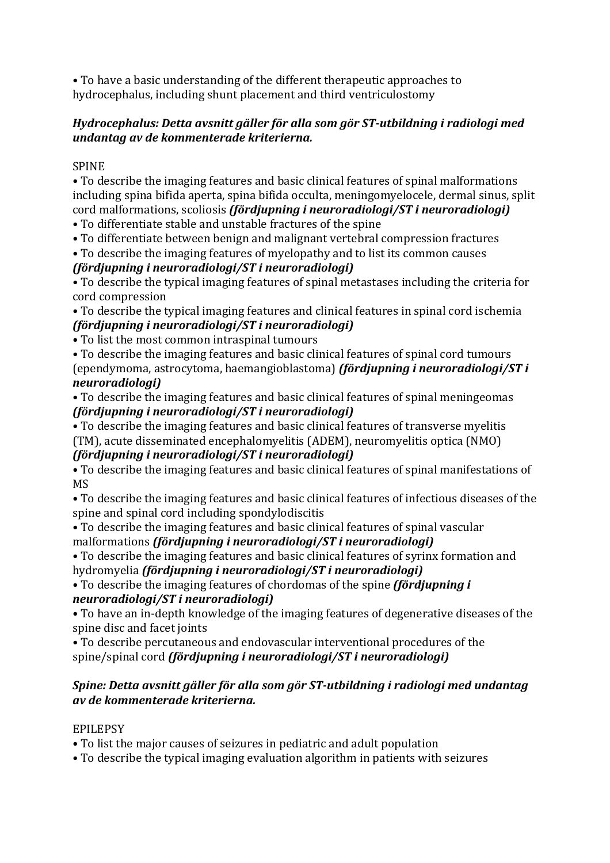• To have a basic understanding of the different therapeutic approaches to hydrocephalus, including shunt placement and third ventriculostomy

# Hydrocephalus: Detta avsnitt gäller för alla som gör ST-utbildning i radiologi med *undantag av de kommenterade kriterierna.*

# SPINE

• To describe the imaging features and basic clinical features of spinal malformations including spina bifida aperta, spina bifida occulta, meningomyelocele, dermal sinus, split cord malformations, scoliosis *(fördjupning i neuroradiologi/ST i neuroradiologi)* 

• To differentiate stable and unstable fractures of the spine

• To differentiate between benign and malignant vertebral compression fractures

• To describe the imaging features of myelopathy and to list its common causes

# *(fördjupning i neuroradiologi/ST i neuroradiologi)*

• To describe the typical imaging features of spinal metastases including the criteria for cord compression

• To describe the typical imaging features and clinical features in spinal cord ischemia *(fördjupning i neuroradiologi/ST i neuroradiologi)*

• To list the most common intraspinal tumours

• To describe the imaging features and basic clinical features of spinal cord tumours (ependymoma, astrocytoma, haemangioblastoma) *(fördjupning i neuroradiologi/ST i neuroradiologi)*

• To describe the imaging features and basic clinical features of spinal meningeomas *(fördjupning i neuroradiologi/ST i neuroradiologi)*

• To describe the imaging features and basic clinical features of transverse myelitis (TM), acute disseminated encephalomyelitis (ADEM), neuromyelitis optica (NMO) *(fördjupning i neuroradiologi/ST i neuroradiologi)*

• To describe the imaging features and basic clinical features of spinal manifestations of MS

• To describe the imaging features and basic clinical features of infectious diseases of the spine and spinal cord including spondylodiscitis

• To describe the imaging features and basic clinical features of spinal vascular malformations *(fördjupning i neuroradiologi/ST i neuroradiologi)* 

• To describe the imaging features and basic clinical features of syrinx formation and hydromyelia *(fördjupning i neuroradiologi/ST i neuroradiologi)* 

• To describe the imaging features of chordomas of the spine *(fördjupning i*) *neuroradiologi/ST i neuroradiologi)*

• To have an in-depth knowledge of the imaging features of degenerative diseases of the spine disc and facet joints

• To describe percutaneous and endovascular interventional procedures of the spine/spinal cord *(fördjupning i neuroradiologi/ST i neuroradiologi)* 

# Spine: Detta avsnitt gäller för alla som gör ST-utbildning i radiologi med undantag *av de kommenterade kriterierna.*

# EPILEPSY

• To list the major causes of seizures in pediatric and adult population

• To describe the typical imaging evaluation algorithm in patients with seizures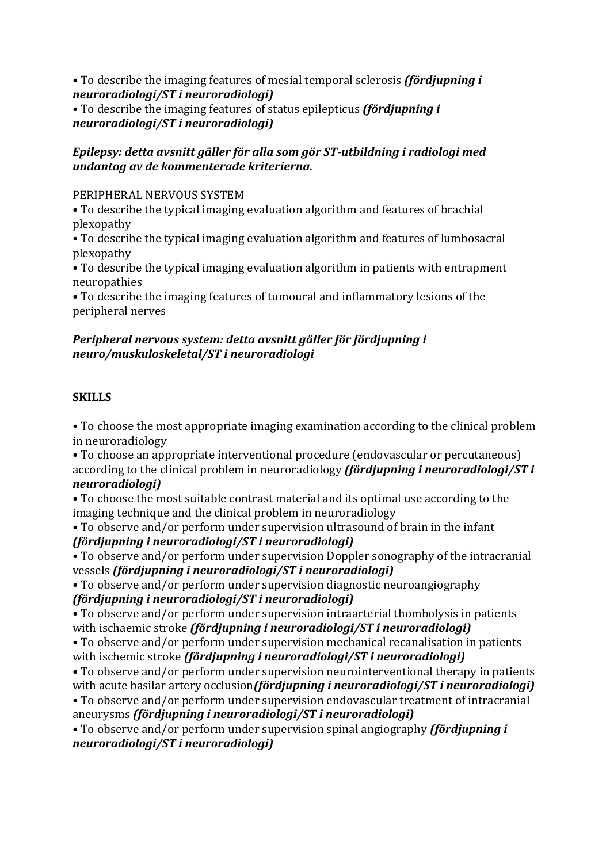• To describe the imaging features of mesial temporal sclerosis *(fördjupning i*) *neuroradiologi/ST i neuroradiologi)*

• To describe the imaging features of status epilepticus *(fördjupning i*) *neuroradiologi/ST i neuroradiologi)*

# *Epilepsy: detta avsnitt aäller för alla som aör ST-utbildning i radiologi med undantag av de kommenterade kriterierna.*

# PERIPHERAL NERVOUS SYSTEM

• To describe the typical imaging evaluation algorithm and features of brachial plexopathy

• To describe the typical imaging evaluation algorithm and features of lumbosacral plexopathy

• To describe the typical imaging evaluation algorithm in patients with entrapment neuropathies

• To describe the imaging features of tumoural and inflammatory lesions of the peripheral nerves

# Peripheral nervous system: detta avsnitt gäller för fördjupning i *neuro/muskuloskeletal/ST i neuroradiologi*

# **SKILLS**

• To choose the most appropriate imaging examination according to the clinical problem in neuroradiology

• To choose an appropriate interventional procedure (endovascular or percutaneous) according to the clinical problem in neuroradiology *(fördjupning i neuroradiologi/ST i neuroradiologi)*

• To choose the most suitable contrast material and its optimal use according to the imaging technique and the clinical problem in neuroradiology

• To observe and/or perform under supervision ultrasound of brain in the infant *(fördjupning i neuroradiologi/ST i neuroradiologi)*

• To observe and/or perform under supervision Doppler sonography of the intracranial vessels *(fördjupning i neuroradiologi/ST i neuroradiologi)* 

• To observe and/or perform under supervision diagnostic neuroangiography *(fördjupning i neuroradiologi/ST i neuroradiologi)*

• To observe and/or perform under supervision intraarterial thombolysis in patients with ischaemic stroke *(fördjupning i neuroradiologi/ST i neuroradiologi)* 

• To observe and/or perform under supervision mechanical recanalisation in patients with ischemic stroke *(fördjupning i neuroradiologi/ST i neuroradiologi)* 

• To observe and/or perform under supervision neurointerventional therapy in patients with acute basilar artery occlusion*(fördjupning i neuroradiologi/ST i neuroradiologi)* • To observe and/or perform under supervision endovascular treatment of intracranial aneurysms *(fördjupning i neuroradiologi/ST i neuroradiologi)* 

• To observe and/or perform under supervision spinal angiography *(fördjupning i neuroradiologi/ST i neuroradiologi)*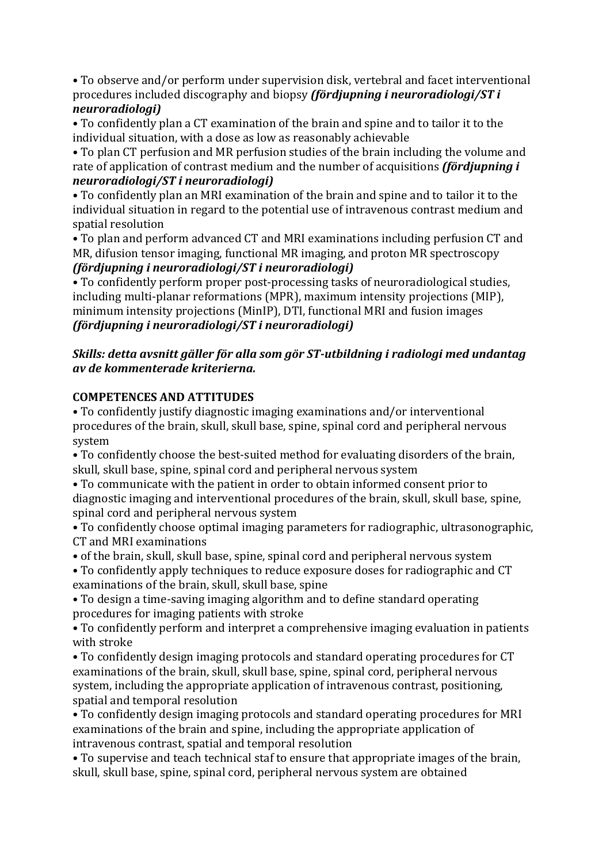• To observe and/or perform under supervision disk, vertebral and facet interventional procedures included discography and biopsy *(fördjupning i neuroradiologi/ST i neuroradiologi)*

• To confidently plan a CT examination of the brain and spine and to tailor it to the individual situation, with a dose as low as reasonably achievable

• To plan CT perfusion and MR perfusion studies of the brain including the volume and rate of application of contrast medium and the number of acquisitions *(fördjupning i neuroradiologi/ST i neuroradiologi)*

• To confidently plan an MRI examination of the brain and spine and to tailor it to the individual situation in regard to the potential use of intravenous contrast medium and spatial resolution

• To plan and perform advanced CT and MRI examinations including perfusion CT and MR, difusion tensor imaging, functional MR imaging, and proton MR spectroscopy *(fördjupning i neuroradiologi/ST i neuroradiologi)*

• To confidently perform proper post-processing tasks of neuroradiological studies, including multi-planar reformations (MPR), maximum intensity projections (MIP), minimum intensity projections (MinIP), DTI, functional MRI and fusion images *(fördjupning i neuroradiologi/ST i neuroradiologi)*

# *Skills: detta avsnitt gäller för alla som gör ST-utbildning i radiologi med undantag av de kommenterade kriterierna.*

# **COMPETENCES AND ATTITUDES**

• To confidently justify diagnostic imaging examinations and/or interventional procedures of the brain, skull, skull base, spine, spinal cord and peripheral nervous system

• To confidently choose the best-suited method for evaluating disorders of the brain, skull, skull base, spine, spinal cord and peripheral nervous system

• To communicate with the patient in order to obtain informed consent prior to diagnostic imaging and interventional procedures of the brain, skull, skull base, spine, spinal cord and peripheral nervous system

• To confidently choose optimal imaging parameters for radiographic, ultrasonographic, CT and MRI examinations

• of the brain, skull, skull base, spine, spinal cord and peripheral nervous system

• To confidently apply techniques to reduce exposure doses for radiographic and CT examinations of the brain, skull, skull base, spine

• To design a time-saving imaging algorithm and to define standard operating procedures for imaging patients with stroke

• To confidently perform and interpret a comprehensive imaging evaluation in patients with stroke

• To confidently design imaging protocols and standard operating procedures for CT examinations of the brain, skull, skull base, spine, spinal cord, peripheral nervous system, including the appropriate application of intravenous contrast, positioning, spatial and temporal resolution

• To confidently design imaging protocols and standard operating procedures for MRI examinations of the brain and spine, including the appropriate application of intravenous contrast, spatial and temporal resolution

• To supervise and teach technical staf to ensure that appropriate images of the brain, skull, skull base, spine, spinal cord, peripheral nervous system are obtained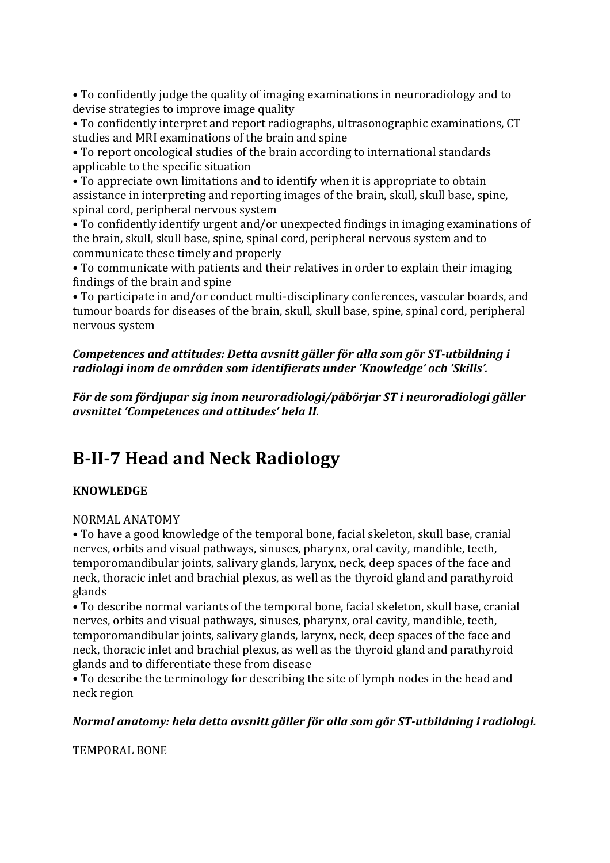• To confidently judge the quality of imaging examinations in neuroradiology and to devise strategies to improve image quality

• To confidently interpret and report radiographs, ultrasonographic examinations, CT studies and MRI examinations of the brain and spine

• To report oncological studies of the brain according to international standards applicable to the specific situation

• To appreciate own limitations and to identify when it is appropriate to obtain assistance in interpreting and reporting images of the brain, skull, skull base, spine, spinal cord, peripheral nervous system

• To confidently identify urgent and/or unexpected findings in imaging examinations of the brain, skull, skull base, spine, spinal cord, peripheral nervous system and to communicate these timely and properly

• To communicate with patients and their relatives in order to explain their imaging findings of the brain and spine

• To participate in and/or conduct multi-disciplinary conferences, vascular boards, and tumour boards for diseases of the brain, skull, skull base, spine, spinal cord, peripheral nervous system

# *Competences and attitudes: Detta avsnitt gäller för alla som gör ST-utbildning i* radiologi inom de områden som identifierats under 'Knowledge' och 'Skills'.

*För de som fördjupar sig inom neuroradiologi/påbörjar ST i neuroradiologi gäller avsnittet 'Competences and attitudes' hela II.*

# **B-II-7 Head and Neck Radiology**

# **KNOWLEDGE**

# NORMAL ANATOMY

• To have a good knowledge of the temporal bone, facial skeleton, skull base, cranial nerves, orbits and visual pathways, sinuses, pharynx, oral cavity, mandible, teeth, temporomandibular joints, salivary glands, larynx, neck, deep spaces of the face and neck, thoracic inlet and brachial plexus, as well as the thyroid gland and parathyroid glands

• To describe normal variants of the temporal bone, facial skeleton, skull base, cranial nerves, orbits and visual pathways, sinuses, pharynx, oral cavity, mandible, teeth, temporomandibular joints, salivary glands, larynx, neck, deep spaces of the face and neck, thoracic inlet and brachial plexus, as well as the thyroid gland and parathyroid glands and to differentiate these from disease

• To describe the terminology for describing the site of lymph nodes in the head and neck region

# *Normal anatomy: hela detta avsnitt gäller för alla som gör ST-utbildning i radiologi.*

TEMPORAL BONE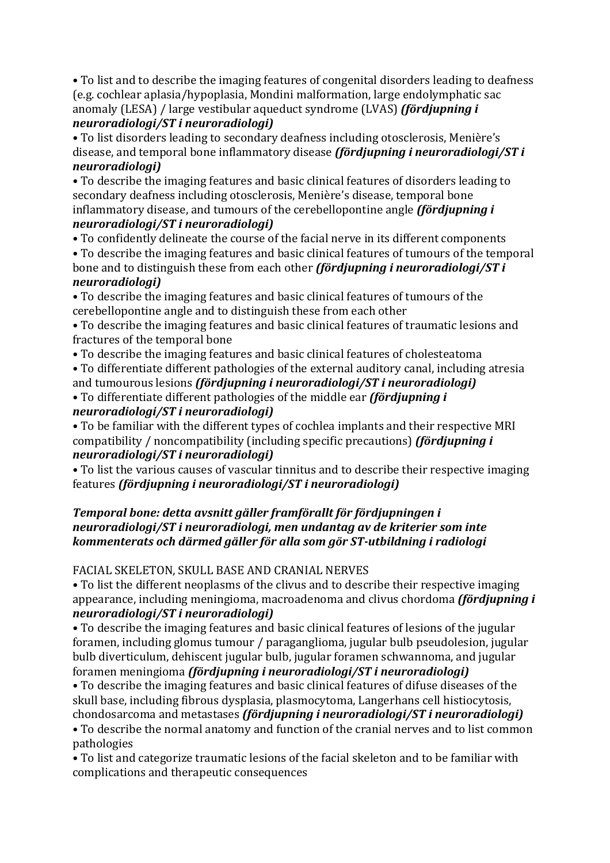• To list and to describe the imaging features of congenital disorders leading to deafness (e.g. cochlear aplasia/hypoplasia, Mondini malformation, large endolymphatic sac anomaly (LESA) / large vestibular aqueduct syndrome (LVAS) *(fördjupning i neuroradiologi/ST i neuroradiologi)*

• To list disorders leading to secondary deafness including otosclerosis, Menière's disease, and temporal bone inflammatory disease *(fördiupning i neuroradiologi/ST i neuroradiologi)*

• To describe the imaging features and basic clinical features of disorders leading to secondary deafness including otosclerosis, Menière's disease, temporal bone inflammatory disease, and tumours of the cerebellopontine angle *(fördjupning i neuroradiologi/ST i neuroradiologi)*

• To confidently delineate the course of the facial nerve in its different components

• To describe the imaging features and basic clinical features of tumours of the temporal bone and to distinguish these from each other *(fördjupning i neuroradiologi/ST i neuroradiologi)*

• To describe the imaging features and basic clinical features of tumours of the cerebellopontine angle and to distinguish these from each other

• To describe the imaging features and basic clinical features of traumatic lesions and fractures of the temporal bone

• To describe the imaging features and basic clinical features of cholesteatoma

• To differentiate different pathologies of the external auditory canal, including atresia and tumourous lesions *(fördjupning i neuroradiologi/ST i neuroradiologi)* 

• To differentiate different pathologies of the middle ear *(fördjupning i neuroradiologi/ST i neuroradiologi)*

• To be familiar with the different types of cochlea implants and their respective MRI compatibility / noncompatibility (including specific precautions) *(fördjupning i neuroradiologi/ST i neuroradiologi)*

• To list the various causes of vascular tinnitus and to describe their respective imaging features *(fördjupning i neuroradiologi/ST i neuroradiologi)* 

### Temporal bone: detta avsnitt gäller framförallt för fördjupningen i *neuroradiologi/ST i neuroradiologi, men undantag av de kriterier som inte* kommenterats och därmed gäller för alla som gör ST-utbildning i radiologi

# FACIAL SKELETON, SKULL BASE AND CRANIAL NERVES

• To list the different neoplasms of the clivus and to describe their respective imaging appearance, including meningioma, macroadenoma and clivus chordoma *(fördjupning i neuroradiologi/ST i neuroradiologi)*

• To describe the imaging features and basic clinical features of lesions of the jugular foramen, including glomus tumour / paraganglioma, jugular bulb pseudolesion, jugular bulb diverticulum, dehiscent jugular bulb, jugular foramen schwannoma, and jugular foramen meningioma *(fördjupning i neuroradiologi/ST i neuroradiologi)* 

• To describe the imaging features and basic clinical features of difuse diseases of the skull base, including fibrous dysplasia, plasmocytoma, Langerhans cell histiocytosis, chondosarcoma and metastases *(fördjupning i neuroradiologi/ST i neuroradiologi)* 

• To describe the normal anatomy and function of the cranial nerves and to list common pathologies

• To list and categorize traumatic lesions of the facial skeleton and to be familiar with complications and therapeutic consequences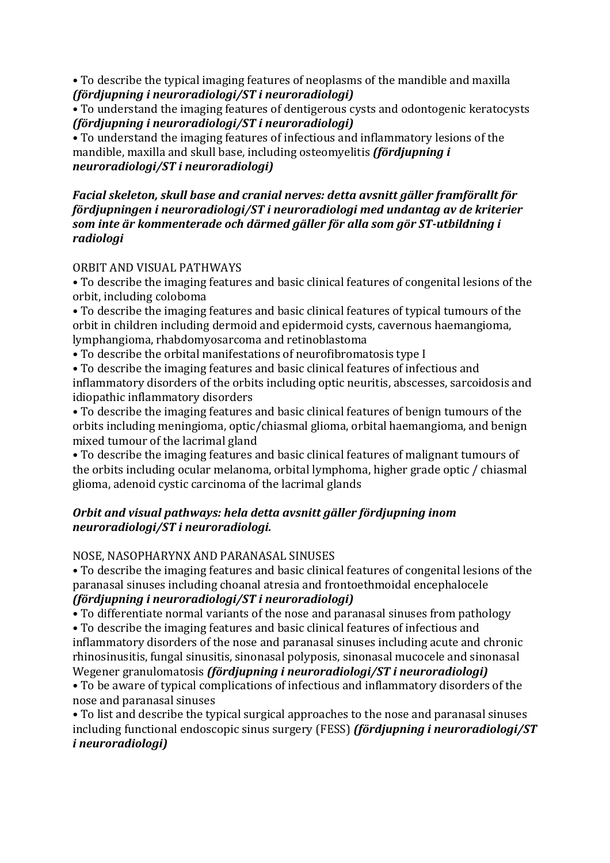• To describe the typical imaging features of neoplasms of the mandible and maxilla *(fördjupning i neuroradiologi/ST i neuroradiologi)*

• To understand the imaging features of dentigerous cysts and odontogenic keratocysts *(fördjupning i neuroradiologi/ST i neuroradiologi)*

• To understand the imaging features of infectious and inflammatory lesions of the mandible, maxilla and skull base, including osteomyelitis *(fördiupning i*) *neuroradiologi/ST i neuroradiologi)*

#### Facial skeleton, skull base and cranial nerves: detta avsnitt gäller framförallt för *fördiupningen i neuroradiologi/ST i neuroradiologi med undantag av de kriterier* som inte är kommenterade och därmed gäller för alla som gör ST-utbildning i *radiologi*

#### ORBIT AND VISUAL PATHWAYS

• To describe the imaging features and basic clinical features of congenital lesions of the orbit, including coloboma

• To describe the imaging features and basic clinical features of typical tumours of the orbit in children including dermoid and epidermoid cysts, cavernous haemangioma, lymphangioma, rhabdomyosarcoma and retinoblastoma

• To describe the orbital manifestations of neurofibromatosis type I

• To describe the imaging features and basic clinical features of infectious and inflammatory disorders of the orbits including optic neuritis, abscesses, sarcoidosis and idiopathic inflammatory disorders

• To describe the imaging features and basic clinical features of benign tumours of the orbits including meningioma, optic/chiasmal glioma, orbital haemangioma, and benign mixed tumour of the lacrimal gland

• To describe the imaging features and basic clinical features of malignant tumours of the orbits including ocular melanoma, orbital lymphoma, higher grade optic / chiasmal glioma, adenoid cystic carcinoma of the lacrimal glands

# **Orbit and visual pathways: hela detta avsnitt gäller fördjupning inom** *neuroradiologi/ST i neuroradiologi.*

# NOSE, NASOPHARYNX AND PARANASAL SINUSES

• To describe the imaging features and basic clinical features of congenital lesions of the paranasal sinuses including choanal atresia and frontoethmoidal encephalocele *(fördjupning i neuroradiologi/ST i neuroradiologi)*

• To differentiate normal variants of the nose and paranasal sinuses from pathology

• To describe the imaging features and basic clinical features of infectious and inflammatory disorders of the nose and paranasal sinuses including acute and chronic rhinosinusitis, fungal sinusitis, sinonasal polyposis, sinonasal mucocele and sinonasal Wegener granulomatosis *(fördjupning i neuroradiologi/ST i neuroradiologi)* 

• To be aware of typical complications of infectious and inflammatory disorders of the nose and paranasal sinuses

• To list and describe the typical surgical approaches to the nose and paranasal sinuses including functional endoscopic sinus surgery (FESS) *(fördjupning i neuroradiologi/ST i neuroradiologi)*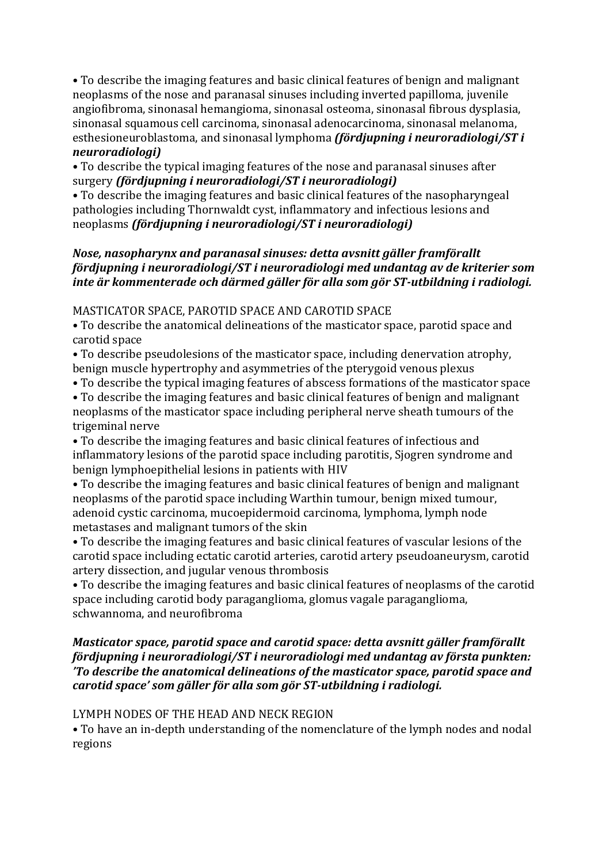• To describe the imaging features and basic clinical features of benign and malignant neoplasms of the nose and paranasal sinuses including inverted papilloma, juvenile angiofibroma, sinonasal hemangioma, sinonasal osteoma, sinonasal fibrous dysplasia, sinonasal squamous cell carcinoma, sinonasal adenocarcinoma, sinonasal melanoma, esthesioneuroblastoma, and sinonasal lymphoma *(fördjupning i neuroradiologi/ST i neuroradiologi)*

• To describe the typical imaging features of the nose and paranasal sinuses after surgery *(fördjupning i neuroradiologi/ST i neuroradiologi)* 

• To describe the imaging features and basic clinical features of the nasopharyngeal pathologies including Thornwaldt cyst, inflammatory and infectious lesions and neoplasms *(fördjupning i neuroradiologi/ST i neuroradiologi)* 

# *Nose, nasopharynx and paranasal sinuses: detta avsnitt gäller framförallt fördjupning i neuroradiologi/ST i neuroradiologi med undantag av de kriterier som inte är kommenterade och därmed gäller för alla som gör ST-utbildning i radiologi.*

#### MASTICATOR SPACE, PAROTID SPACE AND CAROTID SPACE

• To describe the anatomical delineations of the masticator space, parotid space and carotid space

- To describe pseudolesions of the masticator space, including denervation atrophy, benign muscle hypertrophy and asymmetries of the pterygoid venous plexus
- To describe the typical imaging features of abscess formations of the masticator space
- To describe the imaging features and basic clinical features of benign and malignant neoplasms of the masticator space including peripheral nerve sheath tumours of the trigeminal nerve

• To describe the imaging features and basic clinical features of infectious and inflammatory lesions of the parotid space including parotitis, Sjogren syndrome and benign lymphoepithelial lesions in patients with HIV

• To describe the imaging features and basic clinical features of benign and malignant neoplasms of the parotid space including Warthin tumour, benign mixed tumour, adenoid cystic carcinoma, mucoepidermoid carcinoma, lymphoma, lymph node metastases and malignant tumors of the skin

• To describe the imaging features and basic clinical features of vascular lesions of the carotid space including ectatic carotid arteries, carotid artery pseudoaneurysm, carotid artery dissection, and jugular venous thrombosis

• To describe the imaging features and basic clinical features of neoplasms of the carotid space including carotid body paraganglioma, glomus vagale paraganglioma, schwannoma, and neurofibroma

#### *Masticator space, parotid space and carotid space: detta avsnitt gäller framförallt fördjupning i neuroradiologi/ST i neuroradiologi med undantag av första punkten: 'To describe the anatomical delineations of the masticator space, parotid space and carotid space' som gäller för alla som gör ST-utbildning i radiologi.*

# LYMPH NODES OF THE HEAD AND NECK REGION

• To have an in-depth understanding of the nomenclature of the lymph nodes and nodal regions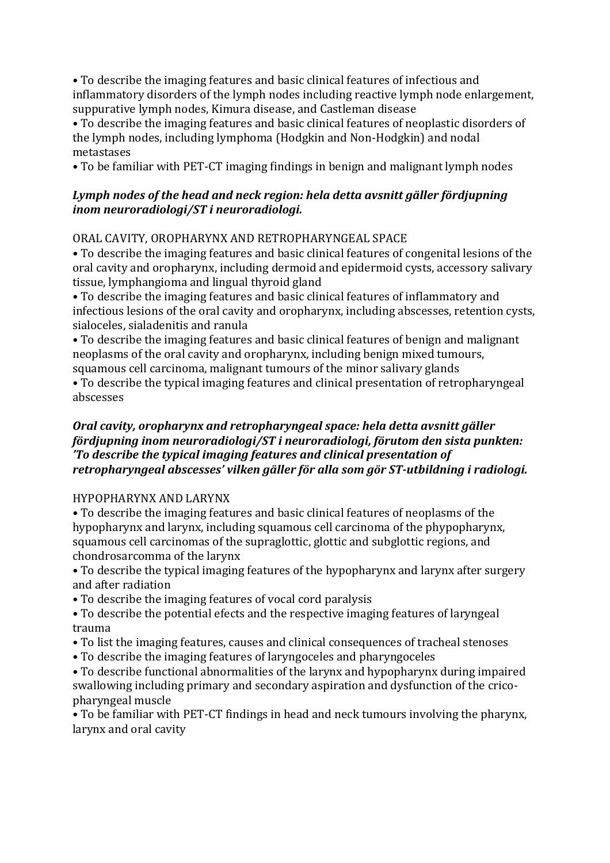• To describe the imaging features and basic clinical features of infectious and inflammatory disorders of the lymph nodes including reactive lymph node enlargement, suppurative lymph nodes, Kimura disease, and Castleman disease

• To describe the imaging features and basic clinical features of neoplastic disorders of the lymph nodes, including lymphoma (Hodgkin and Non-Hodgkin) and nodal metastases

• To be familiar with PET-CT imaging findings in benign and malignant lymph nodes

## Lymph nodes of the head and neck region: hela detta avsnitt gäller fördjupning *inom neuroradiologi/ST i neuroradiologi.*

# ORAL CAVITY, OROPHARYNX AND RETROPHARYNGEAL SPACE

• To describe the imaging features and basic clinical features of congenital lesions of the oral cavity and oropharynx, including dermoid and epidermoid cysts, accessory salivary tissue, lymphangioma and lingual thyroid gland

• To describe the imaging features and basic clinical features of inflammatory and infectious lesions of the oral cavity and oropharynx, including abscesses, retention cysts, sialoceles, sialadenitis and ranula

• To describe the imaging features and basic clinical features of benign and malignant neoplasms of the oral cavity and oropharynx, including benign mixed tumours, squamous cell carcinoma, malignant tumours of the minor salivary glands

• To describe the typical imaging features and clinical presentation of retropharyngeal abscesses

#### *Oral cavity, oropharynx and retropharyngeal space: hela detta avsnitt gäller fördjupning inom neuroradiologi/ST i neuroradiologi, förutom den sista punkten: 'To describe the typical imaging features and clinical presentation of* retropharyngeal abscesses' vilken gäller för alla som gör ST-utbildning i radiologi.

# HYPOPHARYNX AND LARYNX

• To describe the imaging features and basic clinical features of neoplasms of the hypopharynx and larynx, including squamous cell carcinoma of the phypopharynx, squamous cell carcinomas of the supraglottic, glottic and subglottic regions, and chondrosarcomma of the larynx

• To describe the typical imaging features of the hypopharynx and larynx after surgery and after radiation

- To describe the imaging features of vocal cord paralysis
- To describe the potential efects and the respective imaging features of laryngeal trauma
- To list the imaging features, causes and clinical consequences of tracheal stenoses
- To describe the imaging features of laryngoceles and pharyngoceles

• To describe functional abnormalities of the larynx and hypopharynx during impaired swallowing including primary and secondary aspiration and dysfunction of the cricopharyngeal muscle

• To be familiar with PET-CT findings in head and neck tumours involving the pharynx, larynx and oral cavity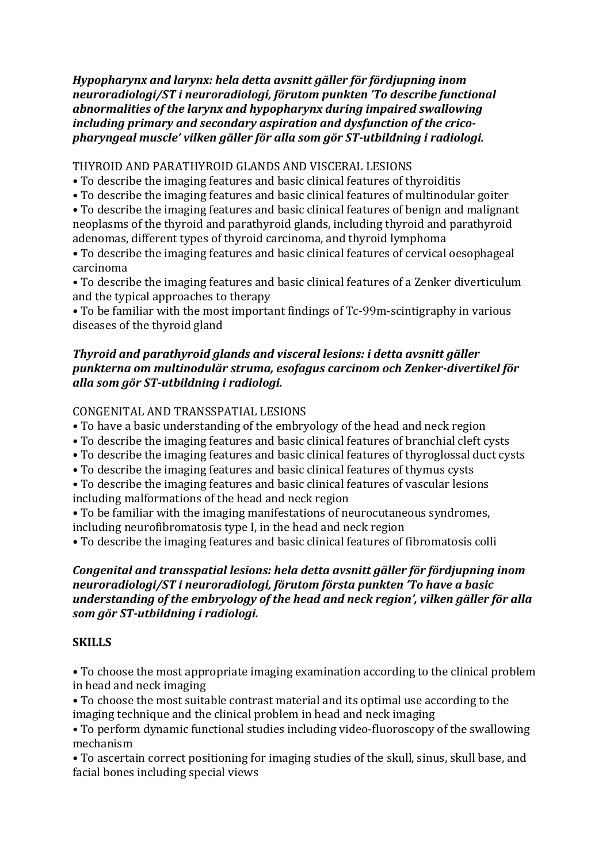*Hypopharynx and larynx: hela detta avsnitt gäller för fördjupning inom neuroradiologi/ST i neuroradiologi, förutom punkten 'To describe functional abnormalities of the larynx and hypopharynx during impaired swallowing* including primary and secondary aspiration and dysfunction of the crico*pharyngeal muscle' vilken gäller för alla som gör ST-utbildning i radiologi.*

THYROID AND PARATHYROID GLANDS AND VISCERAL LESIONS

- To describe the imaging features and basic clinical features of thyroiditis
- To describe the imaging features and basic clinical features of multinodular goiter
- To describe the imaging features and basic clinical features of benign and malignant neoplasms of the thyroid and parathyroid glands, including thyroid and parathyroid adenomas, different types of thyroid carcinoma, and thyroid lymphoma
- To describe the imaging features and basic clinical features of cervical oesophageal carcinoma

• To describe the imaging features and basic clinical features of a Zenker diverticulum and the typical approaches to therapy

• To be familiar with the most important findings of Tc-99m-scintigraphy in various diseases of the thyroid gland

# **Thyroid and parathyroid glands and visceral lesions:** *i* **detta avsnitt gäller** punkterna om multinodulär struma, esofagus carcinom och Zenker-divertikel för *alla som gör ST-utbildning i radiologi.*

#### CONGENITAL AND TRANSSPATIAL LESIONS

- To have a basic understanding of the embryology of the head and neck region
- To describe the imaging features and basic clinical features of branchial cleft cysts
- To describe the imaging features and basic clinical features of thyroglossal duct cysts
- To describe the imaging features and basic clinical features of thymus cysts
- To describe the imaging features and basic clinical features of vascular lesions including malformations of the head and neck region
- To be familiar with the imaging manifestations of neurocutaneous syndromes, including neurofibromatosis type I, in the head and neck region
- To describe the imaging features and basic clinical features of fibromatosis colli

# *Congenital and transspatial lesions: hela detta avsnitt gäller för fördjupning inom* neuroradiologi/ST *i* neuroradiologi, förutom första punkten 'To have a basic *understanding of the embryology of the head and neck region', vilken gäller för alla som gör ST-utbildning i radiologi.*

# **SKILLS**

• To choose the most appropriate imaging examination according to the clinical problem in head and neck imaging

• To choose the most suitable contrast material and its optimal use according to the imaging technique and the clinical problem in head and neck imaging

• To perform dynamic functional studies including video-fluoroscopy of the swallowing mechanism

• To ascertain correct positioning for imaging studies of the skull, sinus, skull base, and facial bones including special views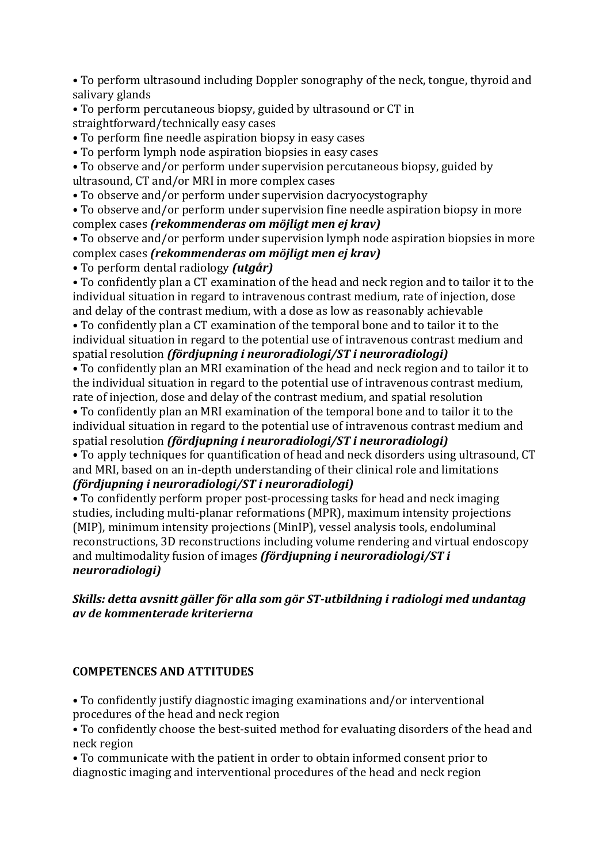• To perform ultrasound including Doppler sonography of the neck, tongue, thyroid and salivary glands

• To perform percutaneous biopsy, guided by ultrasound or CT in straightforward/technically easy cases

• To perform fine needle aspiration biopsy in easy cases

• To perform lymph node aspiration biopsies in easy cases

• To observe and/or perform under supervision percutaneous biopsy, guided by ultrasound, CT and/or MRI in more complex cases

• To observe and/or perform under supervision dacryocystography

• To observe and/or perform under supervision fine needle aspiration biopsy in more complex cases *(rekommenderas om möjligt men ej krav)* 

• To observe and/or perform under supervision lymph node aspiration biopsies in more complex cases *(rekommenderas om möjligt men ej krav)* 

• To perform dental radiology *(utgår)*

• To confidently plan a CT examination of the head and neck region and to tailor it to the individual situation in regard to intravenous contrast medium, rate of injection, dose and delay of the contrast medium, with a dose as low as reasonably achievable

• To confidently plan a CT examination of the temporal bone and to tailor it to the individual situation in regard to the potential use of intravenous contrast medium and spatial resolution *(fördjupning i neuroradiologi/ST i neuroradiologi)* 

• To confidently plan an MRI examination of the head and neck region and to tailor it to the individual situation in regard to the potential use of intravenous contrast medium, rate of injection, dose and delay of the contrast medium, and spatial resolution

• To confidently plan an MRI examination of the temporal bone and to tailor it to the individual situation in regard to the potential use of intravenous contrast medium and spatial resolution *(fördjupning i neuroradiologi/ST i neuroradiologi)* 

• To apply techniques for quantification of head and neck disorders using ultrasound, CT and MRI, based on an in-depth understanding of their clinical role and limitations *(fördjupning i neuroradiologi/ST i neuroradiologi)*

• To confidently perform proper post-processing tasks for head and neck imaging studies, including multi-planar reformations (MPR), maximum intensity projections (MIP), minimum intensity projections (MinIP), vessel analysis tools, endoluminal reconstructions, 3D reconstructions including volume rendering and virtual endoscopy and multimodality fusion of images *(fördjupning i neuroradiologi/ST i neuroradiologi)*

# *Skills: detta avsnitt gäller för alla som gör ST-utbildning i radiologi med undantag av de kommenterade kriterierna*

# **COMPETENCES AND ATTITUDES**

• To confidently justify diagnostic imaging examinations and/or interventional procedures of the head and neck region

• To confidently choose the best-suited method for evaluating disorders of the head and neck region

• To communicate with the patient in order to obtain informed consent prior to diagnostic imaging and interventional procedures of the head and neck region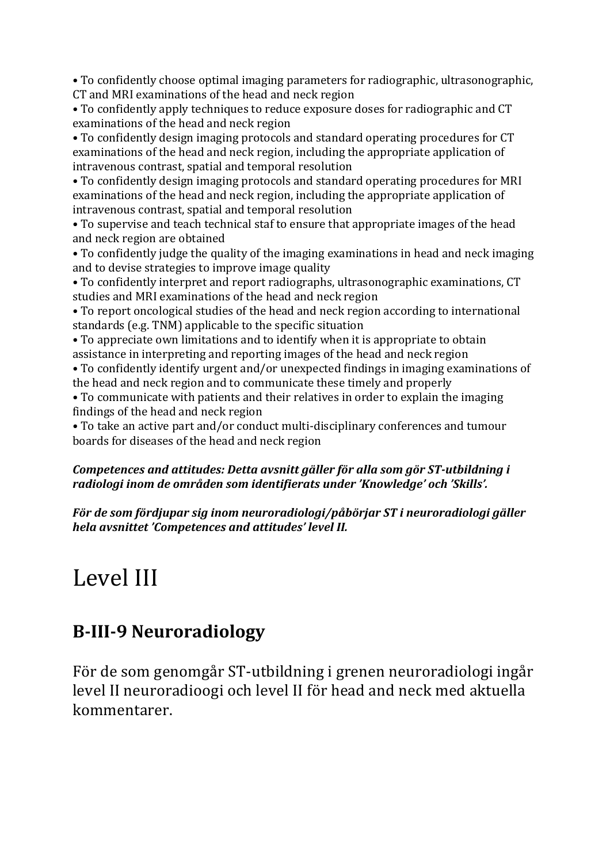• To confidently choose optimal imaging parameters for radiographic, ultrasonographic, CT and MRI examinations of the head and neck region

• To confidently apply techniques to reduce exposure doses for radiographic and CT examinations of the head and neck region

• To confidently design imaging protocols and standard operating procedures for CT examinations of the head and neck region, including the appropriate application of intravenous contrast, spatial and temporal resolution

• To confidently design imaging protocols and standard operating procedures for MRI examinations of the head and neck region, including the appropriate application of intravenous contrast, spatial and temporal resolution

• To supervise and teach technical staf to ensure that appropriate images of the head and neck region are obtained

• To confidently judge the quality of the imaging examinations in head and neck imaging and to devise strategies to improve image quality

• To confidently interpret and report radiographs, ultrasonographic examinations, CT studies and MRI examinations of the head and neck region

• To report oncological studies of the head and neck region according to international standards (e.g. TNM) applicable to the specific situation

• To appreciate own limitations and to identify when it is appropriate to obtain assistance in interpreting and reporting images of the head and neck region

• To confidently identify urgent and/or unexpected findings in imaging examinations of the head and neck region and to communicate these timely and properly

• To communicate with patients and their relatives in order to explain the imaging findings of the head and neck region

• To take an active part and/or conduct multi-disciplinary conferences and tumour boards for diseases of the head and neck region

# *Competences and attitudes: Detta avsnitt gäller för alla som gör ST-utbildning i* radiologi inom de områden som identifierats under 'Knowledge' och 'Skills'.

För de som fördjupar sig inom neuroradiologi/påbörjar ST i neuroradiologi gäller *hela avsnittet 'Competences and attitudes' level II.*

# Level III

# **B-III-9 Neuroradiology**

För de som genomgår ST-utbildning i grenen neuroradiologi ingår level II neuroradioogi och level II för head and neck med aktuella kommentarer.